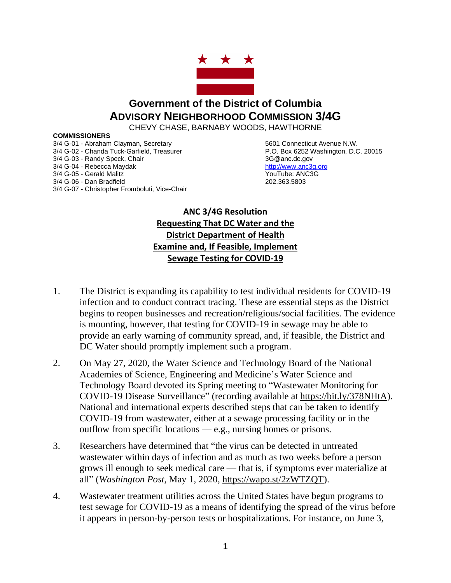

## **Government of the District of Columbia ADVISORY NEIGHBORHOOD COMMISSION 3/4G**

CHEVY CHASE, BARNABY WOODS, HAWTHORNE

## **COMMISSIONERS**

3/4 G-01 - Abraham Clayman, Secretary **5601 Connecticut Avenue N.W.**<br>3/4 G-02 - Chanda Tuck-Garfield, Treasurer **5601 Connecticut Avenue N.W.** P.O. Box 6252 Washington, D.C. 20015 3/4 G-02 - Chanda Tuck-Garfield, Treasurer 3/4 G-03 - Randy Speck, Chair 3G @anc.dc.gov 3/4 G-04 - Rebecca Maydak **[http://www.anc3g.org](http://www.anc3g.org/)** 3/4 G-05 - Gerald Malitz **YouTube: ANC3G** 3/4 G-06 - Dan Bradfield 202.363.5803 3/4 G-07 - Christopher Fromboluti, Vice-Chair

## **ANC 3/4G Resolution Requesting That DC Water and the District Department of Health Examine and, If Feasible, Implement Sewage Testing for COVID-19**

- 1. The District is expanding its capability to test individual residents for COVID-19 infection and to conduct contract tracing. These are essential steps as the District begins to reopen businesses and recreation/religious/social facilities. The evidence is mounting, however, that testing for COVID-19 in sewage may be able to provide an early warning of community spread, and, if feasible, the District and DC Water should promptly implement such a program.
- 2. On May 27, 2020, the Water Science and Technology Board of the National Academies of Science, Engineering and Medicine's Water Science and Technology Board devoted its Spring meeting to "Wastewater Monitoring for COVID-19 Disease Surveillance" (recording available at [https://bit.ly/378NHtA\)](https://bit.ly/378NHtA). National and international experts described steps that can be taken to identify COVID-19 from wastewater, either at a sewage processing facility or in the outflow from specific locations — e.g., nursing homes or prisons.
- 3. Researchers have determined that "the virus can be detected in untreated wastewater within days of infection and as much as two weeks before a person grows ill enough to seek medical care — that is, if symptoms ever materialize at all" (*Washington Post*, May 1, 2020, [https://wapo.st/2zWTZQT\)](https://wapo.st/2zWTZQT).
- 4. Wastewater treatment utilities across the United States have begun programs to test sewage for COVID-19 as a means of identifying the spread of the virus before it appears in person-by-person tests or hospitalizations. For instance, on June 3,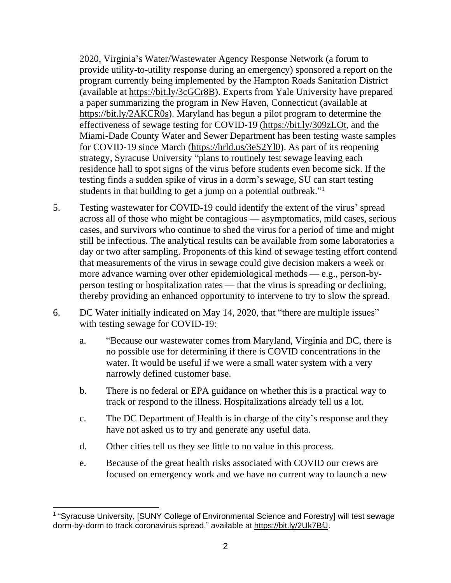2020, Virginia's Water/Wastewater Agency Response Network (a forum to provide utility-to-utility response during an emergency) sponsored a report on the program currently being implemented by the Hampton Roads Sanitation District (available at [https://bit.ly/3cGCr8B\)](https://bit.ly/3cGCr8B). Experts from Yale University have prepared a paper summarizing the program in New Haven, Connecticut (available at [https://bit.ly/2AKCR0s\)](https://bit.ly/2AKCR0s). Maryland has begun a pilot program to determine the effectiveness of sewage testing for COVID-19 [\(https://bit.ly/309zLOt,](https://bit.ly/309zLOt) and the Miami-Dade County Water and Sewer Department has been testing waste samples for COVID-19 since March [\(https://hrld.us/3eS2Yl0\)](https://hrld.us/3eS2Yl0). As part of its reopening strategy, Syracuse University "plans to routinely test sewage leaving each residence hall to spot signs of the virus before students even become sick. If the testing finds a sudden spike of virus in a dorm's sewage, SU can start testing students in that building to get a jump on a potential outbreak."<sup>1</sup>

- 5. Testing wastewater for COVID-19 could identify the extent of the virus' spread across all of those who might be contagious — asymptomatics, mild cases, serious cases, and survivors who continue to shed the virus for a period of time and might still be infectious. The analytical results can be available from some laboratories a day or two after sampling. Proponents of this kind of sewage testing effort contend that measurements of the virus in sewage could give decision makers a week or more advance warning over other epidemiological methods — e.g., person-byperson testing or hospitalization rates — that the virus is spreading or declining, thereby providing an enhanced opportunity to intervene to try to slow the spread.
- 6. DC Water initially indicated on May 14, 2020, that "there are multiple issues" with testing sewage for COVID-19:
	- a. "Because our wastewater comes from Maryland, Virginia and DC, there is no possible use for determining if there is COVID concentrations in the water. It would be useful if we were a small water system with a very narrowly defined customer base.
	- b. There is no federal or EPA guidance on whether this is a practical way to track or respond to the illness. Hospitalizations already tell us a lot.
	- c. The DC Department of Health is in charge of the city's response and they have not asked us to try and generate any useful data.
	- d. Other cities tell us they see little to no value in this process.
	- e. Because of the great health risks associated with COVID our crews are focused on emergency work and we have no current way to launch a new

<sup>&</sup>lt;sup>1</sup> "Syracuse University, [SUNY College of Environmental Science and Forestry] will test sewage dorm-by-dorm to track coronavirus spread," available at [https://bit.ly/2Uk7BfJ.](https://bit.ly/2Uk7BfJ)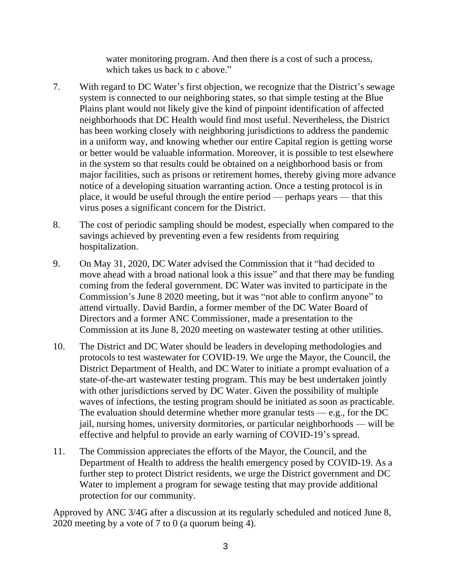water monitoring program. And then there is a cost of such a process, which takes us back to c above."

- 7. With regard to DC Water's first objection, we recognize that the District's sewage system is connected to our neighboring states, so that simple testing at the Blue Plains plant would not likely give the kind of pinpoint identification of affected neighborhoods that DC Health would find most useful. Nevertheless, the District has been working closely with neighboring jurisdictions to address the pandemic in a uniform way, and knowing whether our entire Capital region is getting worse or better would be valuable information. Moreover, it is possible to test elsewhere in the system so that results could be obtained on a neighborhood basis or from major facilities, such as prisons or retirement homes, thereby giving more advance notice of a developing situation warranting action. Once a testing protocol is in place, it would be useful through the entire period — perhaps years — that this virus poses a significant concern for the District.
- 8. The cost of periodic sampling should be modest, especially when compared to the savings achieved by preventing even a few residents from requiring hospitalization.
- 9. On May 31, 2020, DC Water advised the Commission that it "had decided to move ahead with a broad national look a this issue" and that there may be funding coming from the federal government. DC Water was invited to participate in the Commission's June 8 2020 meeting, but it was "not able to confirm anyone" to attend virtually. David Bardin, a former member of the DC Water Board of Directors and a former ANC Commissioner, made a presentation to the Commission at its June 8, 2020 meeting on wastewater testing at other utilities.
- 10. The District and DC Water should be leaders in developing methodologies and protocols to test wastewater for COVID-19. We urge the Mayor, the Council, the District Department of Health, and DC Water to initiate a prompt evaluation of a state-of-the-art wastewater testing program. This may be best undertaken jointly with other jurisdictions served by DC Water. Given the possibility of multiple waves of infections, the testing program should be initiated as soon as practicable. The evaluation should determine whether more granular tests  $-e.g.,$  for the DC jail, nursing homes, university dormitories, or particular neighborhoods — will be effective and helpful to provide an early warning of COVID-19's spread.
- 11. The Commission appreciates the efforts of the Mayor, the Council, and the Department of Health to address the health emergency posed by COVID-19. As a further step to protect District residents, we urge the District government and DC Water to implement a program for sewage testing that may provide additional protection for our community.

Approved by ANC 3/4G after a discussion at its regularly scheduled and noticed June 8, 2020 meeting by a vote of 7 to 0 (a quorum being 4).